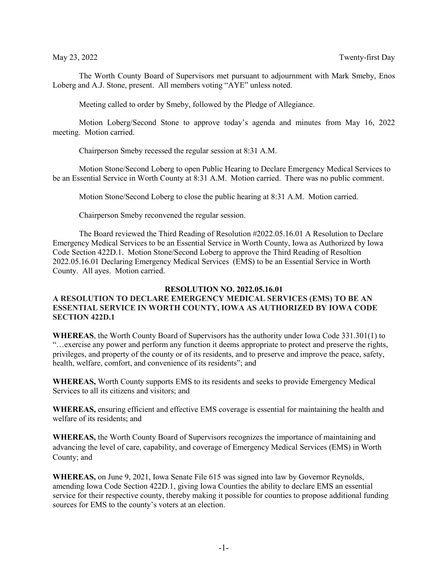The Worth County Board of Supervisors met pursuant to adjournment with Mark Smeby, Enos Loberg and A.J. Stone, present. All members voting "AYE" unless noted.

Meeting called to order by Smeby, followed by the Pledge of Allegiance.

Motion Loberg/Second Stone to approve today's agenda and minutes from May 16, 2022 meeting. Motion carried.

Chairperson Smeby recessed the regular session at 8:31 A.M.

Motion Stone/Second Loberg to open Public Hearing to Declare Emergency Medical Services to be an Essential Service in Worth County at 8:31 A.M. Motion carried. There was no public comment.

Motion Stone/Second Loberg to close the public hearing at 8:31 A.M. Motion carried.

Chairperson Smeby reconvened the regular session.

The Board reviewed the Third Reading of Resolution #2022.05.16.01 A Resolution to Declare Emergency Medical Services to be an Essential Service in Worth County, Iowa as Authorized by Iowa Code Section 422D.1. Motion Stone/Second Loberg to approve the Third Reading of Resoltion 2022.05.16.01 Declaring Emergency Medical Services (EMS) to be an Essential Service in Worth County. All ayes. Motion carried.

## **RESOLUTION NO. 2022.05.16.01**

## **A RESOLUTION TO DECLARE EMERGENCY MEDICAL SERVICES (EMS) TO BE AN ESSENTIAL SERVICE IN WORTH COUNTY, IOWA AS AUTHORIZED BY IOWA CODE SECTION 422D.1**

**WHEREAS**, the Worth County Board of Supervisors has the authority under Iowa Code 331.301(1) to "…exercise any power and perform any function it deems appropriate to protect and preserve the rights, privileges, and property of the county or of its residents, and to preserve and improve the peace, safety, health, welfare, comfort, and convenience of its residents"; and

**WHEREAS,** Worth County supports EMS to its residents and seeks to provide Emergency Medical Services to all its citizens and visitors; and

**WHEREAS,** ensuring efficient and effective EMS coverage is essential for maintaining the health and welfare of its residents; and

**WHEREAS,** the Worth County Board of Supervisors recognizes the importance of maintaining and advancing the level of care, capability, and coverage of Emergency Medical Services (EMS) in Worth County; and

**WHEREAS,** on June 9, 2021, Iowa Senate File 615 was signed into law by Governor Reynolds, amending Iowa Code Section 422D.1, giving Iowa Counties the ability to declare EMS an essential service for their respective county, thereby making it possible for counties to propose additional funding sources for EMS to the county's voters at an election.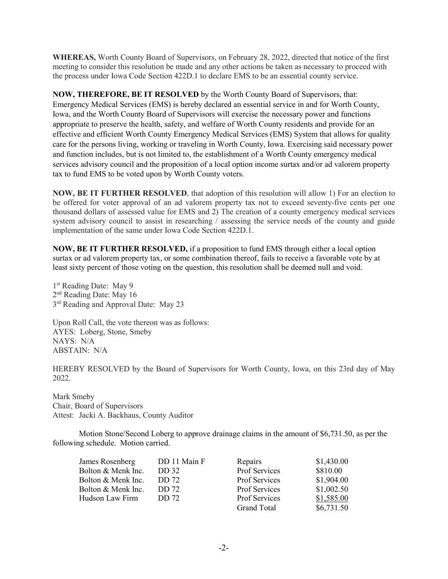**WHEREAS,** Worth County Board of Supervisors, on February 28, 2022, directed that notice of the first meeting to consider this resolution be made and any other actions be taken as necessary to proceed with the process under Iowa Code Section 422D.1 to declare EMS to be an essential county service.

**NOW, THEREFORE, BE IT RESOLVED** by the Worth County Board of Supervisors, that: Emergency Medical Services (EMS) is hereby declared an essential service in and for Worth County, Iowa, and the Worth County Board of Supervisors will exercise the necessary power and functions appropriate to preserve the health, safety, and welfare of Worth County residents and provide for an effective and efficient Worth County Emergency Medical Services (EMS) System that allows for quality care for the persons living, working or traveling in Worth County, Iowa. Exercising said necessary power and function includes, but is not limited to, the establishment of a Worth County emergency medical services advisory council and the proposition of a local option income surtax and/or ad valorem property tax to fund EMS to be voted upon by Worth County voters.

**NOW, BE IT FURTHER RESOLVED**, that adoption of this resolution will allow 1) For an election to be offered for voter approval of an ad valorem property tax not to exceed seventy-five cents per one thousand dollars of assessed value for EMS and 2) The creation of a county emergency medical services system advisory council to assist in researching / assessing the service needs of the county and guide implementation of the same under Iowa Code Section 422D.1.

**NOW, BE IT FURTHER RESOLVED,** if a proposition to fund EMS through either a local option surtax or ad valorem property tax, or some combination thereof, fails to receive a favorable vote by at least sixty percent of those voting on the question, this resolution shall be deemed null and void.

1<sup>st</sup> Reading Date: May 9 2nd Reading Date: May 16 3<sup>rd</sup> Reading and Approval Date: May 23

Upon Roll Call, the vote thereon was as follows: AYES: Loberg, Stone, Smeby NAYS: N/A ABSTAIN: N/A

HEREBY RESOLVED by the Board of Supervisors for Worth County, Iowa, on this 23rd day of May 2022.

Mark Smeby Chair, Board of Supervisors Attest: Jacki A. Backhaus, County Auditor

Motion Stone/Second Loberg to approve drainage claims in the amount of \$6,731.50, as per the following schedule. Motion carried.

| James Rosenberg    | DD 11 Main F | Repairs              | \$1,430.00 |
|--------------------|--------------|----------------------|------------|
| Bolton & Menk Inc. | DD 32        | Prof Services        | \$810.00   |
| Bolton & Menk Inc. | DD 72        | <b>Prof Services</b> | \$1,904.00 |
| Bolton & Menk Inc. | DD 72        | Prof Services        | \$1,002.50 |
| Hudson Law Firm    | DD 72        | <b>Prof Services</b> | \$1,585.00 |
|                    |              | <b>Grand Total</b>   | \$6,731.50 |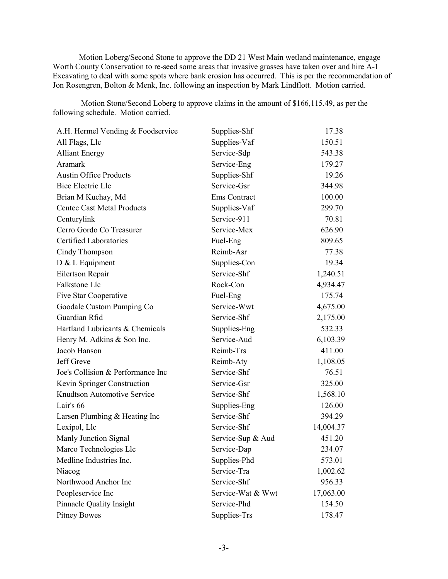Motion Loberg/Second Stone to approve the DD 21 West Main wetland maintenance, engage Worth County Conservation to re-seed some areas that invasive grasses have taken over and hire A-1 Excavating to deal with some spots where bank erosion has occurred. This is per the recommendation of Jon Rosengren, Bolton & Menk, Inc. following an inspection by Mark Lindflott. Motion carried.

Motion Stone/Second Loberg to approve claims in the amount of \$166,115.49, as per the following schedule. Motion carried.

| A.H. Hermel Vending & Foodservice | Supplies-Shf      | 17.38     |
|-----------------------------------|-------------------|-----------|
| All Flags, Llc                    | Supplies-Vaf      | 150.51    |
| <b>Alliant Energy</b>             | Service-Sdp       | 543.38    |
| Aramark                           | Service-Eng       | 179.27    |
| <b>Austin Office Products</b>     | Supplies-Shf      | 19.26     |
| <b>Bice Electric Llc</b>          | Service-Gsr       | 344.98    |
| Brian M Kuchay, Md                | Ems Contract      | 100.00    |
| <b>Centec Cast Metal Products</b> | Supplies-Vaf      | 299.70    |
| Centurylink                       | Service-911       | 70.81     |
| Cerro Gordo Co Treasurer          | Service-Mex       | 626.90    |
| Certified Laboratories            | Fuel-Eng          | 809.65    |
| Cindy Thompson                    | Reimb-Asr         | 77.38     |
| D & L Equipment                   | Supplies-Con      | 19.34     |
| Eilertson Repair                  | Service-Shf       | 1,240.51  |
| Falkstone Llc                     | Rock-Con          | 4,934.47  |
| Five Star Cooperative             | Fuel-Eng          | 175.74    |
| Goodale Custom Pumping Co         | Service-Wwt       | 4,675.00  |
| Guardian Rfid                     | Service-Shf       | 2,175.00  |
| Hartland Lubricants & Chemicals   | Supplies-Eng      | 532.33    |
| Henry M. Adkins & Son Inc.        | Service-Aud       | 6,103.39  |
| Jacob Hanson                      | Reimb-Trs         | 411.00    |
| Jeff Greve                        | Reimb-Aty         | 1,108.05  |
| Joe's Collision & Performance Inc | Service-Shf       | 76.51     |
| Kevin Springer Construction       | Service-Gsr       | 325.00    |
| Knudtson Automotive Service       | Service-Shf       | 1,568.10  |
| Lair's 66                         | Supplies-Eng      | 126.00    |
| Larsen Plumbing & Heating Inc     | Service-Shf       | 394.29    |
| Lexipol, Llc                      | Service-Shf       | 14,004.37 |
| Manly Junction Signal             | Service-Sup & Aud | 451.20    |
| Marco Technologies Llc            | Service-Dap       | 234.07    |
| Medline Industries Inc.           | Supplies-Phd      | 573.01    |
| Niacog                            | Service-Tra       | 1,002.62  |
| Northwood Anchor Inc              | Service-Shf       | 956.33    |
| Peopleservice Inc                 | Service-Wat & Wwt | 17,063.00 |
| Pinnacle Quality Insight          | Service-Phd       | 154.50    |
| <b>Pitney Bowes</b>               | Supplies-Trs      | 178.47    |